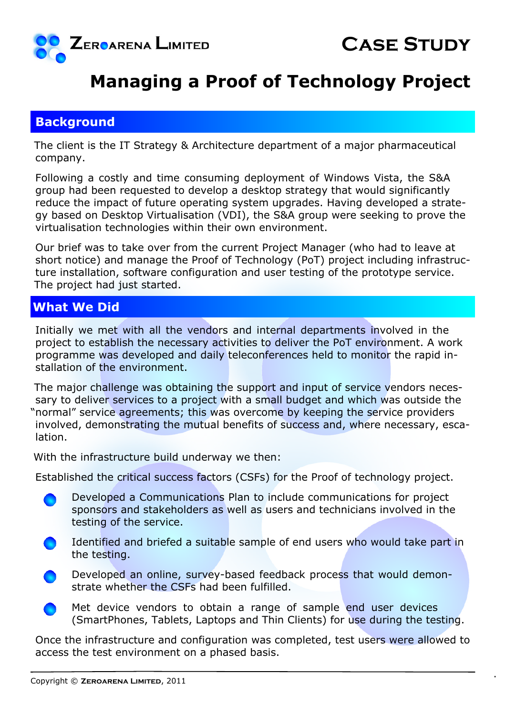

# **Managing a Proof of Technology Project**

#### **Background**

The client is the IT Strategy & Architecture department of a major pharmaceutical company.

Following a costly and time consuming deployment of Windows Vista, the S&A group had been requested to develop a desktop strategy that would significantly reduce the impact of future operating system upgrades. Having developed a strategy based on Desktop Virtualisation (VDI), the S&A group were seeking to prove the virtualisation technologies within their own environment.

Our brief was to take over from the current Project Manager (who had to leave at short notice) and manage the Proof of Technology (PoT) project including infrastructure installation, software configuration and user testing of the prototype service. The project had just started.

### **What We Did**

Initially we met with all the vendors and internal departments involved in the project to establish the necessary activities to deliver the PoT environment. A work programme was developed and daily teleconferences held to monitor the rapid installation of the environment.

The major challenge was obtaining the support and input of service vendors necessary to deliver services to a project with a small budget and which was outside the "normal" service agreements; this was overcome by keeping the service providers involved, demonstrating the mutual benefits of success and, where necessary, escalation.

With the infrastructure build underway we then:

Established the critical success factors (CSFs) for the Proof of technology project.

- Developed a Communications Plan to include communications for project sponsors and stakeholders as well as users and technicians involved in the testing of the service.
- Identified and briefed a suitable sample of end users who would take part in the testing.
- Developed an online, survey-based feedback process that would demonstrate whether the CSFs had been fulfilled.
	- Met device vendors to obtain a range of sample end user devices (SmartPhones, Tablets, Laptops and Thin Clients) for use during the testing.

Once the infrastructure and configuration was completed, test users were allowed to access the test environment on a phased basis.